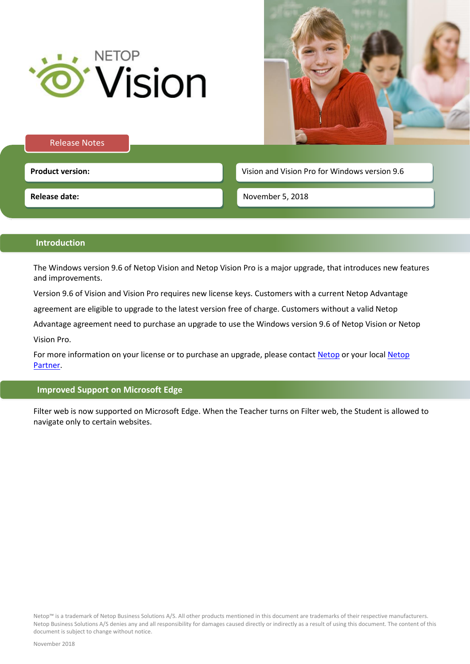



#### Release Notes

**Product version: Vision and Vision Pro for Windows version 9.6 Product version: Vision 2.6 Vision and Vision Pro for Windows version 9.6** 

**Release date:**

November 5, 2018

# **Introduction**

The Windows version 9.6 of Netop Vision and Netop Vision Pro is a major upgrade, that introduces new features and improvements.

Version 9.6 of Vision and Vision Pro requires new license keys. Customers with a current Netop Advantage

agreement are eligible to upgrade to the latest version free of charge. Customers without a valid Netop

Advantage agreement need to purchase an upgrade to use the Windows version 9.6 of Netop Vision or Netop Vision Pro.

For more information on your license or to purchase an upgrade, please contact [Netop](https://www.netop.com/edu/contact.htm) or your local Netop [Partner.](https://www.netop.com/classroom-management-software/pricing-purchase/where-to-buy.htm)

## **Improved Support on Microsoft Edge**

Filter web is now supported on Microsoft Edge. When the Teacher turns on Filter web, the Student is allowed to navigate only to certain websites.

Netop™ is a trademark of Netop Business Solutions A/S. All other products mentioned in this document are trademarks of their respective manufacturers. Netop Business Solutions A/S denies any and all responsibility for damages caused directly or indirectly as a result of using this document. The content of this document is subject to change without notice.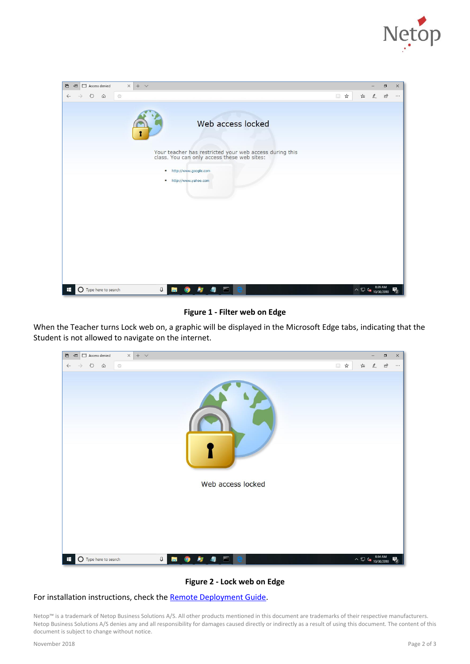



**Figure 1 - Filter web on Edge**

When the Teacher turns Lock web on, a graphic will be displayed in the Microsoft Edge tabs, indicating that the Student is not allowed to navigate on the internet.



## **Figure 2 - Lock web on Edge**

#### For installation instructions, check the [Remote Deployment Guide.](https://www.netop.com/fileadmin/netop/resources/products/education/vision/manuals/NetopVisionRemoteDeployment_EN.pdf)

Netop™ is a trademark of Netop Business Solutions A/S. All other products mentioned in this document are trademarks of their respective manufacturers. Netop Business Solutions A/S denies any and all responsibility for damages caused directly or indirectly as a result of using this document. The content of this document is subject to change without notice.